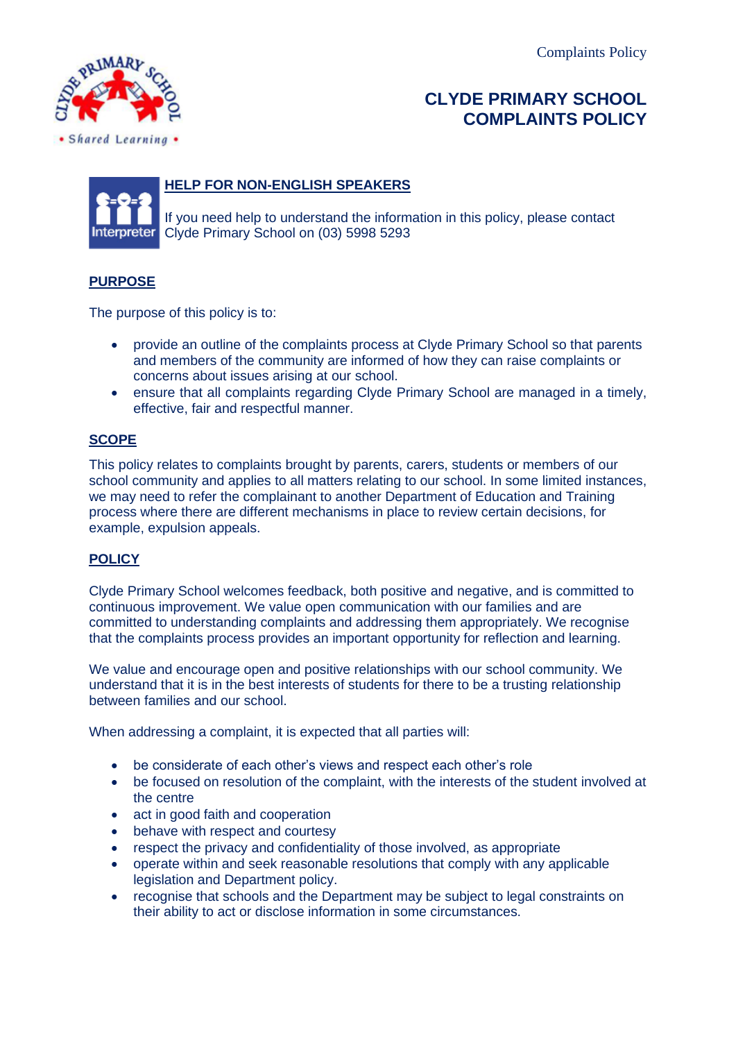

# **CLYDE PRIMARY SCHOOL COMPLAINTS POLICY**



# **HELP FOR NON-ENGLISH SPEAKERS**

 If you need help to understand the information in this policy, please contact Clyde Primary School on (03) 5998 5293

## **PURPOSE**

The purpose of this policy is to:

- provide an outline of the complaints process at Clyde Primary School so that parents and members of the community are informed of how they can raise complaints or concerns about issues arising at our school.
- ensure that all complaints regarding Clyde Primary School are managed in a timely, effective, fair and respectful manner.

## **SCOPE**

This policy relates to complaints brought by parents, carers, students or members of our school community and applies to all matters relating to our school. In some limited instances, we may need to refer the complainant to another Department of Education and Training process where there are different mechanisms in place to review certain decisions, for example, expulsion appeals.

## **POLICY**

Clyde Primary School welcomes feedback, both positive and negative, and is committed to continuous improvement. We value open communication with our families and are committed to understanding complaints and addressing them appropriately. We recognise that the complaints process provides an important opportunity for reflection and learning.

We value and encourage open and positive relationships with our school community. We understand that it is in the best interests of students for there to be a trusting relationship between families and our school.

When addressing a complaint, it is expected that all parties will:

- be considerate of each other's views and respect each other's role
- be focused on resolution of the complaint, with the interests of the student involved at the centre
- act in good faith and cooperation
- behave with respect and courtesy
- respect the privacy and confidentiality of those involved, as appropriate
- operate within and seek reasonable resolutions that comply with any applicable legislation and Department policy.
- recognise that schools and the Department may be subject to legal constraints on their ability to act or disclose information in some circumstances.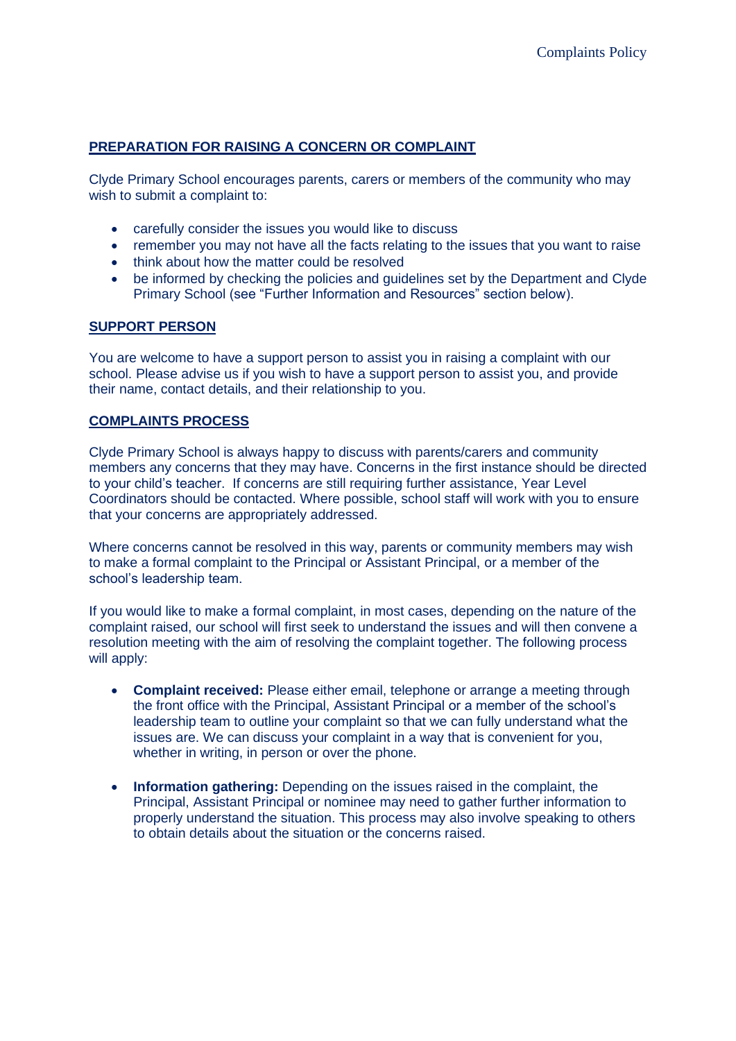## **PREPARATION FOR RAISING A CONCERN OR COMPLAINT**

Clyde Primary School encourages parents, carers or members of the community who may wish to submit a complaint to:

- carefully consider the issues you would like to discuss
- remember you may not have all the facts relating to the issues that you want to raise
- think about how the matter could be resolved
- be informed by checking the policies and guidelines set by the Department and Clyde Primary School (see "Further Information and Resources" section below).

#### **SUPPORT PERSON**

You are welcome to have a support person to assist you in raising a complaint with our school. Please advise us if you wish to have a support person to assist you, and provide their name, contact details, and their relationship to you.

#### **COMPLAINTS PROCESS**

Clyde Primary School is always happy to discuss with parents/carers and community members any concerns that they may have. Concerns in the first instance should be directed to your child's teacher. If concerns are still requiring further assistance, Year Level Coordinators should be contacted. Where possible, school staff will work with you to ensure that your concerns are appropriately addressed.

Where concerns cannot be resolved in this way, parents or community members may wish to make a formal complaint to the Principal or Assistant Principal, or a member of the school's leadership team.

If you would like to make a formal complaint, in most cases, depending on the nature of the complaint raised, our school will first seek to understand the issues and will then convene a resolution meeting with the aim of resolving the complaint together. The following process will apply:

- **Complaint received:** Please either email, telephone or arrange a meeting through the front office with the Principal, Assistant Principal or a member of the school's leadership team to outline your complaint so that we can fully understand what the issues are. We can discuss your complaint in a way that is convenient for you, whether in writing, in person or over the phone.
- **Information gathering:** Depending on the issues raised in the complaint, the Principal, Assistant Principal or nominee may need to gather further information to properly understand the situation. This process may also involve speaking to others to obtain details about the situation or the concerns raised.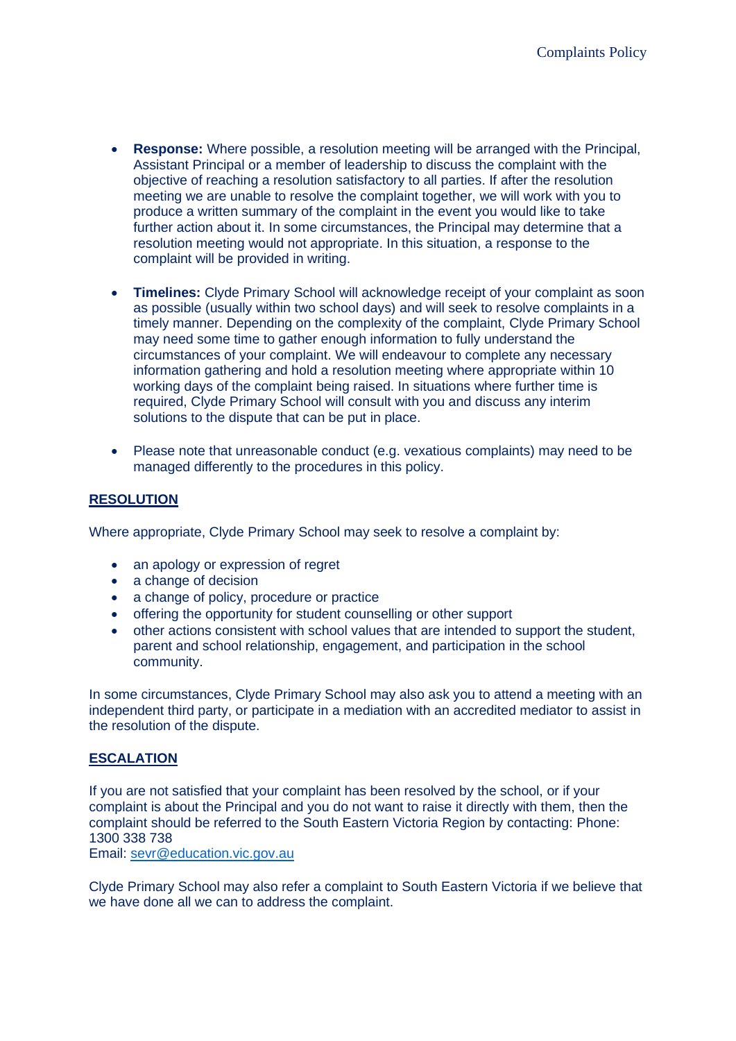- **Response:** Where possible, a resolution meeting will be arranged with the Principal, Assistant Principal or a member of leadership to discuss the complaint with the objective of reaching a resolution satisfactory to all parties. If after the resolution meeting we are unable to resolve the complaint together, we will work with you to produce a written summary of the complaint in the event you would like to take further action about it. In some circumstances, the Principal may determine that a resolution meeting would not appropriate. In this situation, a response to the complaint will be provided in writing.
- **Timelines:** Clyde Primary School will acknowledge receipt of your complaint as soon as possible (usually within two school days) and will seek to resolve complaints in a timely manner. Depending on the complexity of the complaint, Clyde Primary School may need some time to gather enough information to fully understand the circumstances of your complaint. We will endeavour to complete any necessary information gathering and hold a resolution meeting where appropriate within 10 working days of the complaint being raised. In situations where further time is required, Clyde Primary School will consult with you and discuss any interim solutions to the dispute that can be put in place.
- Please note that unreasonable conduct (e.g. vexatious complaints) may need to be managed differently to the procedures in this policy.

## **RESOLUTION**

Where appropriate, Clyde Primary School may seek to resolve a complaint by:

- an apology or expression of regret
- a change of decision
- a change of policy, procedure or practice
- offering the opportunity for student counselling or other support
- other actions consistent with school values that are intended to support the student, parent and school relationship, engagement, and participation in the school community.

In some circumstances, Clyde Primary School may also ask you to attend a meeting with an independent third party, or participate in a mediation with an accredited mediator to assist in the resolution of the dispute.

#### **ESCALATION**

If you are not satisfied that your complaint has been resolved by the school, or if your complaint is about the Principal and you do not want to raise it directly with them, then the complaint should be referred to the South Eastern Victoria Region by contacting: Phone: 1300 338 738

Email: [sevr@education.vic.gov.au](mailto:sevr@education.vic.gov.au)

Clyde Primary School may also refer a complaint to South Eastern Victoria if we believe that we have done all we can to address the complaint.